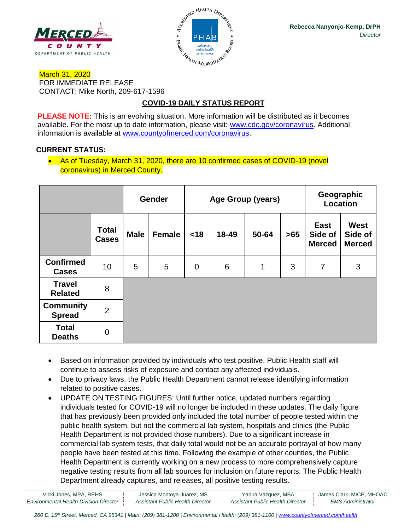



## March 31, 2020 FOR IMMEDIATE RELEASE CONTACT: Mike North, 209-617-1596

# **COVID-19 DAILY STATUS REPORT**

**PLEASE NOTE:** This is an evolving situation. More information will be distributed as it becomes available. For the most up to date information, please visit: [www.cdc.gov/coronavirus.](http://www.cdc.gov/coronavirus) Additional information is available at [www.countyofmerced.com/coronavirus.](http://www.countyofmerced.com/coronavirus)

# **CURRENT STATUS:**

• As of Tuesday, March 31, 2020, there are 10 confirmed cases of COVID-19 (novel coronavirus) in Merced County.

|                                   |                              | <b>Gender</b> |               | Age Group (years) |       |       |       | Geographic<br>Location           |                                         |
|-----------------------------------|------------------------------|---------------|---------------|-------------------|-------|-------|-------|----------------------------------|-----------------------------------------|
|                                   | <b>Total</b><br><b>Cases</b> | <b>Male</b>   | <b>Female</b> | < 18              | 18-49 | 50-64 | $>65$ | East<br>Side of<br><b>Merced</b> | <b>West</b><br>Side of<br><b>Merced</b> |
| <b>Confirmed</b><br><b>Cases</b>  | 10                           | 5             | 5             | $\overline{0}$    | 6     | 1     | 3     | $\overline{7}$                   | 3                                       |
| <b>Travel</b><br><b>Related</b>   | 8                            |               |               |                   |       |       |       |                                  |                                         |
| <b>Community</b><br><b>Spread</b> | $\overline{2}$               |               |               |                   |       |       |       |                                  |                                         |
| <b>Total</b><br><b>Deaths</b>     | $\mathbf 0$                  |               |               |                   |       |       |       |                                  |                                         |

- Based on information provided by individuals who test positive, Public Health staff will continue to assess risks of exposure and contact any affected individuals.
- Due to privacy laws, the Public Health Department cannot release identifying information related to positive cases.
- UPDATE ON TESTING FIGURES: Until further notice, updated numbers regarding individuals tested for COVID-19 will no longer be included in these updates. The daily figure that has previously been provided only included the total number of people tested within the public health system, but not the commercial lab system, hospitals and clinics (the Public Health Department is not provided those numbers). Due to a significant increase in commercial lab system tests, that daily total would not be an accurate portrayal of how many people have been tested at this time. Following the example of other counties, the Public Health Department is currently working on a new process to more comprehensively capture negative testing results from all lab sources for inclusion on future reports. The Public Health Department already captures, and releases, all positive testing results.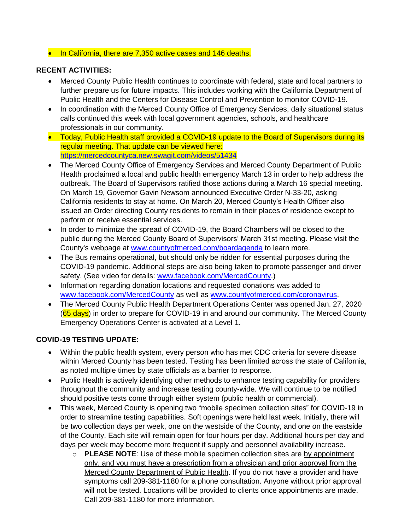#### • In California, there are 7,350 active cases and 146 deaths.

#### **RECENT ACTIVITIES:**

- Merced County Public Health continues to coordinate with federal, state and local partners to further prepare us for future impacts. This includes working with the California Department of Public Health and the Centers for Disease Control and Prevention to monitor COVID-19.
- In coordination with the Merced County Office of Emergency Services, daily situational status calls continued this week with local government agencies, schools, and healthcare professionals in our community.
- Today, Public Health staff provided a COVID-19 update to the Board of Supervisors during its regular meeting. That update can be viewed here: <https://mercedcountyca.new.swagit.com/videos/51434>
- The Merced County Office of Emergency Services and Merced County Department of Public Health proclaimed a local and public health emergency March 13 in order to help address the outbreak. The Board of Supervisors ratified those actions during a March 16 special meeting. On March 19, Governor Gavin Newsom announced Executive Order N-33-20, asking California residents to stay at home. On March 20, Merced County's Health Officer also issued an Order directing County residents to remain in their places of residence except to perform or receive essential services.
- In order to minimize the spread of COVID-19, the Board Chambers will be closed to the public during the Merced County Board of Supervisors' March 31st meeting. Please visit the County's webpage at [www.countyofmerced.com/boardagenda](http://www.countyofmerced.com/boardagenda) to learn more.
- The Bus remains operational, but should only be ridden for essential purposes during the COVID-19 pandemic. Additional steps are also being taken to promote passenger and driver safety. (See video for details: [www.facebook.com/MercedCounty.](http://www.facebook.com/MercedCounty))
- Information regarding donation locations and requested donations was added to [www.facebook.com/MercedCounty](http://www.facebook.com/MercedCounty) as well as [www.countyofmerced.com/coronavirus.](http://www.countyofmerced.com/coronavirus)
- The Merced County Public Health Department Operations Center was opened Jan. 27, 2020 (65 days) in order to prepare for COVID-19 in and around our community. The Merced County Emergency Operations Center is activated at a Level 1.

#### **COVID-19 TESTING UPDATE:**

- Within the public health system, every person who has met CDC criteria for severe disease within Merced County has been tested. Testing has been limited across the state of California, as noted multiple times by state officials as a barrier to response.
- Public Health is actively identifying other methods to enhance testing capability for providers throughout the community and increase testing county-wide. We will continue to be notified should positive tests come through either system (public health or commercial).
- This week, Merced County is opening two "mobile specimen collection sites" for COVID-19 in order to streamline testing capabilities. Soft openings were held last week. Initially, there will be two collection days per week, one on the westside of the County, and one on the eastside of the County. Each site will remain open for four hours per day. Additional hours per day and days per week may become more frequent if supply and personnel availability increase.
	- o **PLEASE NOTE**: Use of these mobile specimen collection sites are by appointment only, and you must have a prescription from a physician and prior approval from the Merced County Department of Public Health. If you do not have a provider and have symptoms call 209-381-1180 for a phone consultation. Anyone without prior approval will not be tested. Locations will be provided to clients once appointments are made. Call 209-381-1180 for more information.